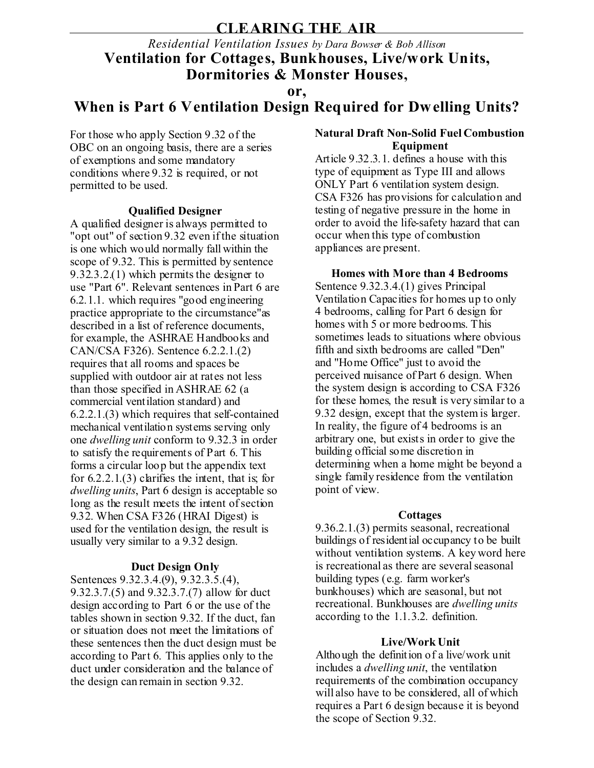## **CLEARING THE AIR**

## *Residential Ventilation Issues by Dara Bowser & Bob Allison* **Ventilation for Cottages, Bunkhouses, Live/work Units, Dormitories & Monster Houses,**

**or,**

# **When is Part 6 Ventilation Design Required for Dwelling Units?**

For those who apply Section 9.32 of the OBC on an ongoing basis, there are a series of exemptions and some mandatory conditions where 9.32 is required, or not permitted to be used.

#### **Qualified Designer**

A qualified designer is always permitted to "opt out" of section 9.32 even if the situation is one which would normally fall within the scope of 9.32. This is permitted by sentence 9.32.3.2.(1) which permits the designer to use "Part 6". Relevant sentences in Part 6 are 6.2.1.1. which requires "good engineering practice appropriate to the circumstance"as described in a list of reference documents. for example, the ASHRAE Handbooks and CAN/CSA F326). Sentence 6.2.2.1.(2) requires that all rooms and spaces be supplied with outdoor air at rates not less than those specified in ASHRAE 62 (a commercial ventilation standard) and 6.2.2.1.(3) which requires that self-contained mechanical ventilation systems serving only one *dwelling unit* conform to 9.32.3 in order to satisfy the requirements of Part 6. This forms a circular loop but the appendix text for  $6.2.2.1(3)$  clarifies the intent, that is, for *dwelling units*, Part 6 design is acceptable so long as the result meets the intent of section 9.32. When CSA F326 (HRAI Digest) is used for the ventilation design, the result is usually very similar to a 9.32 design.

### **Duct Design Only**

Sentences 9.32.3.4.(9), 9.32.3.5.(4), 9.32.3.7.(5) and 9.32.3.7.(7) allow for duct design according to Part 6 or the use of the tables shown in section 9.32. If the duct, fan or situation does not meet the limitations of these sentences then the duct design must be according to Part 6. This applies only to the duct under consideration and the balance of the design can remain in section 9.32.

#### **Natural Draft Non-Solid Fuel Combustion Equipment**

Article 9.32.3.1. defines a house with this type of equipment as Type III and allows ONLY Part 6 ventilation system design. CSA F326 has provisions for calculation and testing of negative pressure in the home in order to avoid the life-safety hazard that can occur when this type of combustion appliances are present.

**Homes with More than 4 Bedrooms** Sentence 9.32.3.4.(1) gives Principal Ventilation Capacities for homes up to only 4 bedrooms, calling for Part 6 design for homes with 5 or more bedrooms. This sometimes leads to situations where obvious fifth and sixth bedrooms are called "Den" and "Home Office" just to avoid the perceived nuisance of Part 6 design. When the system design is according to CSA F326 for these homes, the result is very similar to a 9.32 design, except that the system is larger. In reality, the figure of 4 bedrooms is an arbitrary one, but exists in order to give the building official some discretion in determining when a home might be beyond a single family residence from the ventilation point of view.

#### **Cottages**

9.36.2.1.(3) permits seasonal, recreational buildings of residential occupancy to be built without ventilation systems. A key word here is recreational as there are several seasonal building types (e.g. farm worker's bunkhouses) which are seasonal, but not recreational. Bunkhouses are *dwelling units* according to the 1.1.3.2. definition.

### **Live/Work Unit**

Although the definition of a live/work unit includes a *dwelling unit*, the ventilation requirements of the combination occupancy will also have to be considered, all of which requires a Part 6 design because it is beyond the scope of Section 9.32.